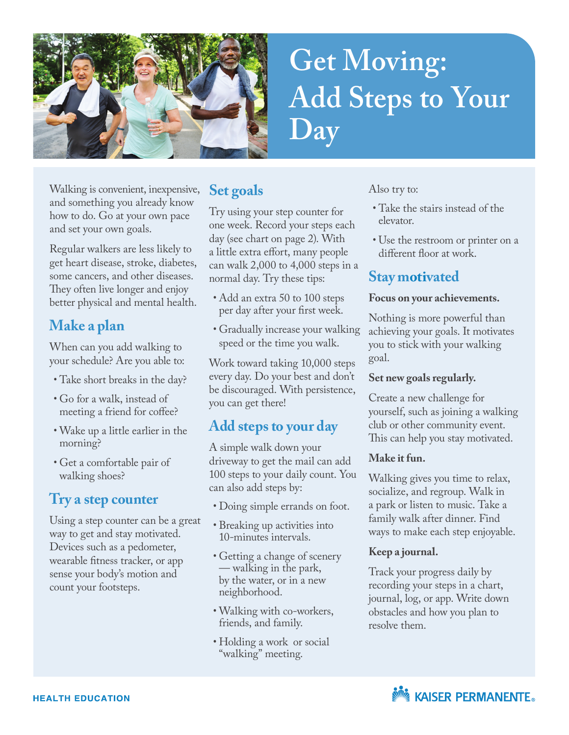

# **Get Moving: Add Steps to Your Day**

Walking is convenient, inexpensive, and something you already know how to do. Go at your own pace and set your own goals.

Regular walkers are less likely to get heart disease, stroke, diabetes, some cancers, and other diseases. They often live longer and enjoy better physical and mental health.

## **Make a plan**

When can you add walking to your schedule? Are you able to:

- Take short breaks in the day?
- Go for a walk, instead of meeting a friend for coffee?
- Wake up a little earlier in the morning?
- Get a comfortable pair of walking shoes?

## **Try a step counter**

Using a step counter can be a great way to get and stay motivated. Devices such as a pedometer, wearable fitness tracker, or app sense your body's motion and count your footsteps.

## **Set goals**

Try using your step counter for one week. Record your steps each day (see chart on page 2). With a little extra effort, many people can walk 2,000 to 4,000 steps in a normal day. Try these tips:

- Add an extra 50 to 100 steps per day after your first week.
- Gradually increase your walking speed or the time you walk.

Work toward taking 10,000 steps every day. Do your best and don't be discouraged. With persistence, you can get there!

## **Add steps to your day**

A simple walk down your driveway to get the mail can add 100 steps to your daily count. You can also add steps by:

- Doing simple errands on foot.
- Breaking up activities into 10-minutes intervals.
- Getting a change of scenery — walking in the park, by the water, or in a new neighborhood.
- Walking with co-workers, friends, and family.
- Holding a work or social "walking" meeting.

Also try to:

- Take the stairs instead of the elevator.
- Use the restroom or printer on a different floor at work.

## **Stay motivated**

#### **Focus on your achievements.**

Nothing is more powerful than achieving your goals. It motivates you to stick with your walking goal.

### **Set new goals regularly.**

Create a new challenge for yourself, such as joining a walking club or other community event. This can help you stay motivated.

### **Make it fun.**

Walking gives you time to relax, socialize, and regroup. Walk in a park or listen to music. Take a family walk after dinner. Find ways to make each step enjoyable.

### **Keep a journal.**

Track your progress daily by recording your steps in a chart, journal, log, or app. Write down obstacles and how you plan to resolve them.